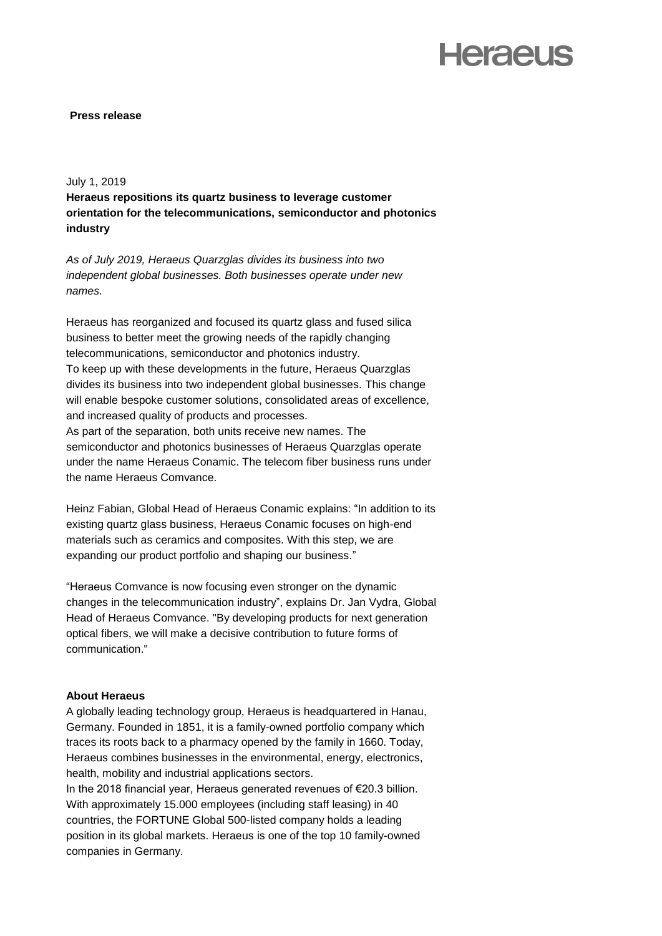# **Heraeus**

### **Press release**

### July 1, 2019

**Heraeus repositions its quartz business to leverage customer orientation for the telecommunications, semiconductor and photonics industry**

*As of July 2019, Heraeus Quarzglas divides its business into two independent global businesses. Both businesses operate under new names.* 

Heraeus has reorganized and focused its quartz glass and fused silica business to better meet the growing needs of the rapidly changing telecommunications, semiconductor and photonics industry. To keep up with these developments in the future, Heraeus Quarzglas divides its business into two independent global businesses. This change will enable bespoke customer solutions, consolidated areas of excellence, and increased quality of products and processes. As part of the separation, both units receive new names. The semiconductor and photonics businesses of Heraeus Quarzglas operate

under the name Heraeus Conamic. The telecom fiber business runs under the name Heraeus Comvance.

Heinz Fabian, Global Head of Heraeus Conamic explains: "In addition to its existing quartz glass business, Heraeus Conamic focuses on high-end materials such as ceramics and composites. With this step, we are expanding our product portfolio and shaping our business."

"Heraeus Comvance is now focusing even stronger on the dynamic changes in the telecommunication industry", explains Dr. Jan Vydra, Global Head of Heraeus Comvance. "By developing products for next generation optical fibers, we will make a decisive contribution to future forms of communication."

### **About Heraeus**

A globally leading technology group, Heraeus is headquartered in Hanau, Germany. Founded in 1851, it is a family-owned portfolio company which traces its roots back to a pharmacy opened by the family in 1660. Today, Heraeus combines businesses in the environmental, energy, electronics, health, mobility and industrial applications sectors.

In the 2018 financial year, Heraeus generated revenues of €20.3 billion. With approximately 15.000 employees (including staff leasing) in 40 countries, the FORTUNE Global 500-listed company holds a leading position in its global markets. Heraeus is one of the top 10 family-owned companies in Germany.